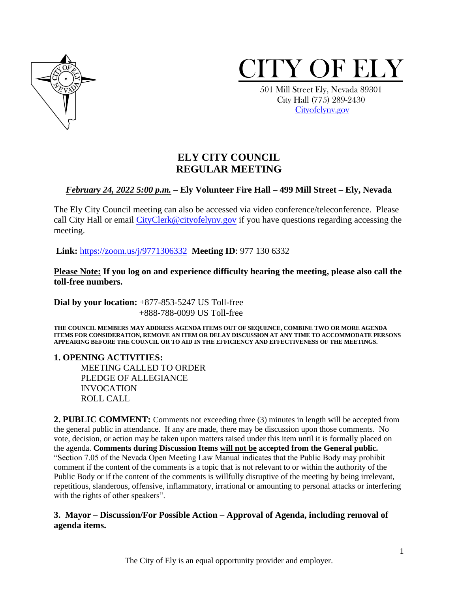



 501 Mill Street Ely, Nevada 89301 City Hall (775) 289-2430 [Cityofelynv.gov](mailto:Cityofelynv.gov)

# **ELY CITY COUNCIL REGULAR MEETING**

## *February 24, 2022 5:00 p.m.* **– Ely Volunteer Fire Hall – 499 Mill Street – Ely, Nevada**

The Ely City Council meeting can also be accessed via video conference/teleconference. Please call City Hall or email [CityClerk@cityofelynv.gov](mailto:CityClerk@cityofelynv.gov) if you have questions regarding accessing the meeting.

**Link:** [https://zoom.us/j/9771306332](https://zoom.us/j/9771306332?status=success) **Meeting ID**: 977 130 6332

**Please Note: If you log on and experience difficulty hearing the meeting, please also call the toll-free numbers.** 

**Dial by your location:** +877-853-5247 US Toll-free +888-788-0099 US Toll-free

**THE COUNCIL MEMBERS MAY ADDRESS AGENDA ITEMS OUT OF SEQUENCE, COMBINE TWO OR MORE AGENDA ITEMS FOR CONSIDERATION, REMOVE AN ITEM OR DELAY DISCUSSION AT ANY TIME TO ACCOMMODATE PERSONS APPEARING BEFORE THE COUNCIL OR TO AID IN THE EFFICIENCY AND EFFECTIVENESS OF THE MEETINGS.**

**1. OPENING ACTIVITIES:**  MEETING CALLED TO ORDER PLEDGE OF ALLEGIANCE INVOCATION ROLL CALL

**2. PUBLIC COMMENT:** Comments not exceeding three (3) minutes in length will be accepted from the general public in attendance. If any are made, there may be discussion upon those comments. No vote, decision, or action may be taken upon matters raised under this item until it is formally placed on the agenda. **Comments during Discussion Items will not be accepted from the General public.**  "Section 7.05 of the Nevada Open Meeting Law Manual indicates that the Public Body may prohibit comment if the content of the comments is a topic that is not relevant to or within the authority of the Public Body or if the content of the comments is willfully disruptive of the meeting by being irrelevant, repetitious, slanderous, offensive, inflammatory, irrational or amounting to personal attacks or interfering with the rights of other speakers".

#### **3. Mayor – Discussion/For Possible Action – Approval of Agenda, including removal of agenda items.**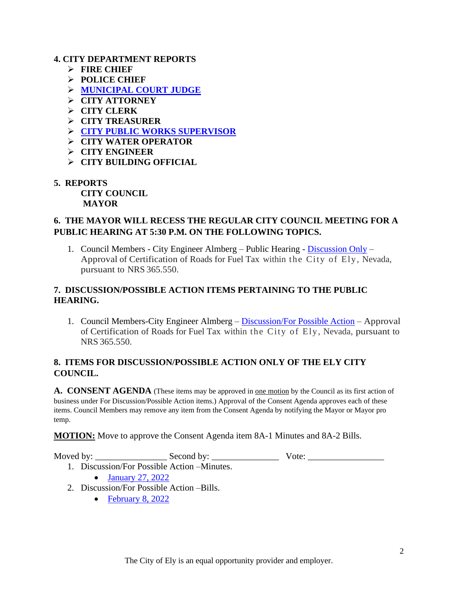#### **4. CITY DEPARTMENT REPORTS**

- ➢ **FIRE CHIEF**
- ➢ **POLICE CHIEF**
- ➢ **[MUNICIPAL COURT JUDGE](https://www.cityofelynv.gov/pdf/CityCouncil2022/cc2-24-22/municourtjan22report.pdf)**
- ➢ **CITY ATTORNEY**
- ➢ **CITY CLERK**
- ➢ **CITY TREASURER**
- ➢ **[CITY PUBLIC WORKS SUPERVISOR](https://www.cityofelynv.gov/pdf/CityCouncil2022/cc2-24-22/publicworkssupervisorreport.pdf)**
- ➢ **CITY WATER OPERATOR**
- ➢ **CITY ENGINEER**
- ➢ **CITY BUILDING OFFICIAL**
- **5. REPORTS**

**CITY COUNCIL MAYOR**

### **6. THE MAYOR WILL RECESS THE REGULAR CITY COUNCIL MEETING FOR A PUBLIC HEARING AT 5:30 P.M. ON THE FOLLOWING TOPICS.**

1. Council Members - City Engineer Almberg – Public Hearing - [Discussion Only](https://www.cityofelynv.gov/pdf/CityCouncil2022/cc2-24-22/2022cityfueltaxcertification.pdf) – Approval of Certification of Roads for Fuel Tax within the City of Ely , Nevada, pursuant to NRS 365.550.

### **7. DISCUSSION/POSSIBLE ACTION ITEMS PERTAINING TO THE PUBLIC HEARING.**

1. Council Members-City Engineer Almberg – [Discussion/For Possible Action](https://www.cityofelynv.gov/pdf/CityCouncil2022/cc2-24-22/2022cityfueltaxcertification.pdf) – Approval of Certification of Roads for Fuel Tax within the City of Ely, Nevada, pursuant to NRS 365.550.

## **8. ITEMS FOR DISCUSSION/POSSIBLE ACTION ONLY OF THE ELY CITY COUNCIL.**

A. CONSENT AGENDA (These items may be approved in <u>one motion</u> by the Council as its first action of business under For Discussion/Possible Action items.) Approval of the Consent Agenda approves each of these items. Council Members may remove any item from the Consent Agenda by notifying the Mayor or Mayor pro temp.

**MOTION:** Move to approve the Consent Agenda item 8A-1 Minutes and 8A-2 Bills.

Moved by: \_\_\_\_\_\_\_\_\_\_\_\_\_\_\_\_ Second by: \_\_\_\_\_\_\_\_\_\_\_\_\_\_\_ Vote: \_\_\_\_\_\_\_\_\_\_\_\_\_\_\_\_\_

- [January 27, 2022](https://www.cityofelynv.gov/pdf/CityCouncil2022/cc2-24-22/cc1-27-22meeting.pdf)
- 2. Discussion/For Possible Action –Bills.

1. Discussion/For Possible Action –Minutes.

• [February 8, 2022](https://www.cityofelynv.gov/pdf/CityCouncil2022/cc2-24-22/ccbills2-8-22.pdf)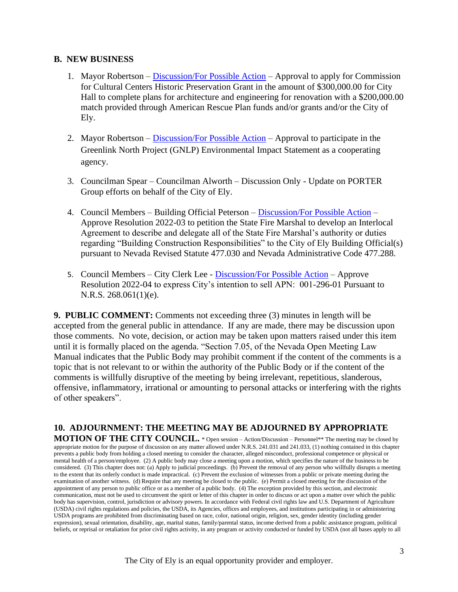#### **B. NEW BUSINESS**

- 1. Mayor Robertson [Discussion/For Possible Action](https://www.cityofelynv.gov/pdf/CityCouncil2022/cc2-24-22/grantPlanningReasons.pdf) Approval to apply for Commission for Cultural Centers Historic Preservation Grant in the amount of \$300,000.00 for City Hall to complete plans for architecture and engineering for renovation with a \$200,000.00 match provided through American Rescue Plan funds and/or grants and/or the City of Ely.
- 2. Mayor Robertson [Discussion/For Possible Action](https://www.cityofelynv.gov/pdf/CityCouncil2022/cc2-24-22/GreenlinknorthprojectEIS.pdf) Approval to participate in the Greenlink North Project (GNLP) Environmental Impact Statement as a cooperating agency.
- 3. Councilman Spear Councilman Alworth Discussion Only Update on PORTER Group efforts on behalf of the City of Ely.
- 4. Council Members Building Official Peterson [Discussion/For Possible Action](https://www.cityofelynv.gov/pdf/CityCouncil2022/cc2-24-22/Resolution2022-03.pdf) Approve Resolution 2022-03 to petition the State Fire Marshal to develop an Interlocal Agreement to describe and delegate all of the State Fire Marshal's authority or duties regarding "Building Construction Responsibilities" to the City of Ely Building Official(s) pursuant to Nevada Revised Statute 477.030 and Nevada Administrative Code 477.288.
- 5. Council Members City Clerk Lee [Discussion/For Possible Action](https://www.cityofelynv.gov/pdf/CityCouncil2022/cc2-24-22/Resolution2022-04.pdf) Approve Resolution 2022-04 to express City's intention to sell APN: 001-296-01 Pursuant to N.R.S. 268.061(1)(e).

**9. PUBLIC COMMENT:** Comments not exceeding three (3) minutes in length will be accepted from the general public in attendance. If any are made, there may be discussion upon those comments. No vote, decision, or action may be taken upon matters raised under this item until it is formally placed on the agenda. "Section 7.05, of the Nevada Open Meeting Law Manual indicates that the Public Body may prohibit comment if the content of the comments is a topic that is not relevant to or within the authority of the Public Body or if the content of the comments is willfully disruptive of the meeting by being irrelevant, repetitious, slanderous, offensive, inflammatory, irrational or amounting to personal attacks or interfering with the rights of other speakers".

**10. ADJOURNMENT: THE MEETING MAY BE ADJOURNED BY APPROPRIATE MOTION OF THE CITY COUNCIL.** \* Open session – Action/Discussion – Personnel\*\* The meeting may be closed by appropriate motion for the purpose of discussion on any matter allowed under N.R.S. 241.031 and 241.033, (1) nothing contained in this chapter prevents a public body from holding a closed meeting to consider the character, alleged misconduct, professional competence or physical or mental health of a person/employee. (2) A public body may close a meeting upon a motion, which specifies the nature of the business to be considered. (3) This chapter does not: (a) Apply to judicial proceedings. (b) Prevent the removal of any person who willfully disrupts a meeting to the extent that its orderly conduct is made impractical. (c) Prevent the exclusion of witnesses from a public or private meeting during the examination of another witness. (d) Require that any meeting be closed to the public. (e) Permit a closed meeting for the discussion of the appointment of any person to public office or as a member of a public body. (4) The exception provided by this section, and electronic communication, must not be used to circumvent the spirit or letter of this chapter in order to discuss or act upon a matter over which the public body has supervision, control, jurisdiction or advisory powers. In accordance with Federal civil rights law and U.S. Department of Agriculture (USDA) civil rights regulations and policies, the USDA, its Agencies, offices and employees, and institutions participating in or administering USDA programs are prohibited from discriminating based on race, color, national origin, religion, sex, gender identity (including gender expression), sexual orientation, disability, age, marital status, family/parental status, income derived from a public assistance program, political beliefs, or reprisal or retaliation for prior civil rights activity, in any program or activity conducted or funded by USDA (not all bases apply to all